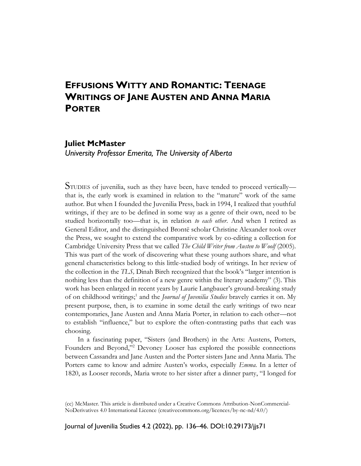# **EFFUSIONS WITTY AND ROMANTIC: TEENAGE WRITINGS OF JANE AUSTEN AND ANNA MARIA PORTER**

### **Juliet McMaster**

*University Professor Emerita, The University of Alberta*

STUDIES of juvenilia, such as they have been, have tended to proceed vertically that is, the early work is examined in relation to the "mature" work of the same author. But when I founded the Juvenilia Press, back in 1994, I realized that youthful writings, if they are to be defined in some way as a genre of their own, need to be studied horizontally too—that is, in relation *to each other*. And when I retired as General Editor, and the distinguished Brontë scholar Christine Alexander took over the Press, we sought to extend the comparative work by co-editing a collection for Cambridge University Press that we called *The Child Writer from Austen to Woolf* (2005). This was part of the work of discovering what these young authors share, and what general characteristics belong to this little-studied body of writings. In her review of the collection in the *TLS,* Dinah Birch recognized that the book's "larger intention is nothing less than the definition of a new genre within the literary academy" (3). This work has been enlarged in recent years by Laurie Langbauer's ground-breaking study of on childhood writings;<sup>1</sup> and the *Journal of Juvenilia Studies* bravely carries it on. My present purpose, then, is to examine in some detail the early writings of two near contemporaries, Jane Austen and Anna Maria Porter, in relation to each other—not to establish "influence," but to explore the often-contrasting paths that each was choosing.

In a fascinating paper, "Sisters (and Brothers) in the Arts: Austens, Porters, Founders and Beyond,"<sup>2</sup> Devoney Looser has explored the possible connections between Cassandra and Jane Austen and the Porter sisters Jane and Anna Maria. The Porters came to know and admire Austen's works, especially *Emma*. In a letter of 1820, as Looser records, Maria wrote to her sister after a dinner party, "I longed for

Journal of Juvenilia Studies 4.2 (2022), pp. 136–46. DOI:10.29173/jjs71

<sup>(</sup>cc) McMaster. This article is distributed under a Creative Commons Attribution-NonCommercial-NoDerivatives 4.0 International Licence (creativecommons.org/licences/by-nc-nd/4.0/)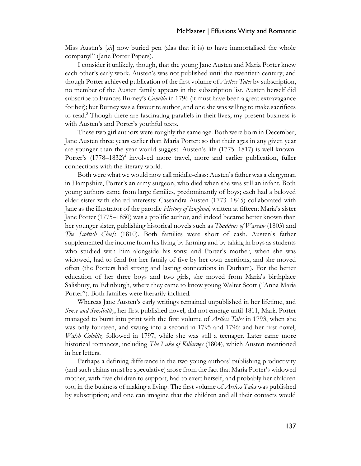Miss Austin's [*sic*] now buried pen (alas that it is) to have immortalised the whole company!" (Jane Porter Papers).

I consider it unlikely, though, that the young Jane Austen and Maria Porter knew each other's early work. Austen's was not published until the twentieth century; and though Porter achieved publication of the first volume of *Artless Tales* by subscription, no member of the Austen family appears in the subscription list. Austen herself did subscribe to Frances Burney's *Camilla* in 1796 (it must have been a great extravagance for her); but Burney was a favourite author, and one she was willing to make sacrifices to read.<sup>3</sup> Though there are fascinating parallels in their lives, my present business is with Austen's and Porter's youthful texts.

These two girl authors were roughly the same age. Both were born in December, Jane Austen three years earlier than Maria Porter: so that their ages in any given year are younger than the year would suggest. Austen's life (1775–1817) is well known. Porter's (1778–1832)<sup>4</sup> involved more travel, more and earlier publication, fuller connections with the literary world.

Both were what we would now call middle-class: Austen's father was a clergyman in Hampshire, Porter's an army surgeon, who died when she was still an infant. Both young authors came from large families, predominantly of boys; each had a beloved elder sister with shared interests: Cassandra Austen (1773–1845) collaborated with Jane as the illustrator of the parodic *History of England*, written at fifteen; Maria's sister Jane Porter (1775–1850) was a prolific author, and indeed became better known than her younger sister, publishing historical novels such as *Thaddeus of Warsaw* (1803) and *The Scottish Chiefs* (1810). Both families were short of cash. Austen's father supplemented the income from his living by farming and by taking in boys as students who studied with him alongside his sons; and Porter's mother, when she was widowed, had to fend for her family of five by her own exertions, and she moved often (the Porters had strong and lasting connections in Durham). For the better education of her three boys and two girls, she moved from Maria's birthplace Salisbury, to Edinburgh, where they came to know young Walter Scott ("Anna Maria Porter"). Both families were literarily inclined.

Whereas Jane Austen's early writings remained unpublished in her lifetime, and *Sense and Sensibility*, her first published novel, did not emerge until 1811, Maria Porter managed to burst into print with the first volume of *Artless Tales* in 1793, when she was only fourteen, and swung into a second in 1795 and 1796; and her first novel, *Walsh Colville,* followed in 1797, while she was still a teenager. Later came more historical romances, including *The Lake of Killarney* (1804), which Austen mentioned in her letters.

Perhaps a defining difference in the two young authors' publishing productivity (and such claims must be speculative) arose from the fact that Maria Porter's widowed mother, with five children to support, had to exert herself, and probably her children too, in the business of making a living. The first volume of *Artless Tales* was published by subscription; and one can imagine that the children and all their contacts would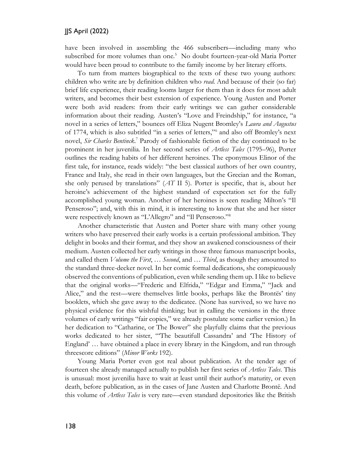have been involved in assembling the 466 subscribers—including many who subscribed for more volumes than one.<sup>5</sup> No doubt fourteen-year-old Maria Porter would have been proud to contribute to the family income by her literary efforts.

To turn from matters biographical to the texts of these two young authors: children who write are by definition children who *read*. And because of their (so far) brief life experience, their reading looms larger for them than it does for most adult writers, and becomes their best extension of experience. Young Austen and Porter were both avid readers: from their early writings we can gather considerable information about their reading. Austen's "Love and Freindship," for instance, "a novel in a series of letters," bounces off Eliza Nugent Bromley's *Laura and Augustus* of 1774, which is also subtitled "in a series of letters,"<sup>6</sup> and also off Bromley's next novel, *Sir Charles Bentinck*. <sup>7</sup> Parody of fashionable fiction of the day continued to be prominent in her juvenilia. In her second series of *Artless Tales* (1795–96), Porter outlines the reading habits of her different heroines. The eponymous Elinor of the first tale, for instance, reads widely: "the best classical authors of her own country, France and Italy, she read in their own languages, but the Grecian and the Roman, she only perused by translations" (*AT* II 5). Porter is specific, that is, about her heroine's achievement of the highest standard of expectation set for the fully accomplished young woman. Another of her heroines is seen reading Milton's "Il Penseroso"; and, with this in mind, it is interesting to know that she and her sister were respectively known as "L'Allegro" and "Il Penseroso."<sup>8</sup>

Another characteristic that Austen and Porter share with many other young writers who have preserved their early works is a certain professional ambition. They delight in books and their format, and they show an awakened consciousness of their medium. Austen collected her early writings in those three famous manuscript books, and called them *Volume the First*, … *Second*, and … *Third*, as though they amounted to the standard three-decker novel. In her comic formal dedications, she conspicuously observed the conventions of publication, even while sending them up. I like to believe that the original works—"Frederic and Elfrida," "Edgar and Emma," "Jack and Alice," and the rest—were themselves little books, perhaps like the Brontës' tiny booklets, which she gave away to the dedicatee. (None has survived, so we have no physical evidence for this wishful thinking; but in calling the versions in the three volumes of early writings "fair copies," we already postulate some earlier version.) In her dedication to "Catharine, or The Bower" she playfully claims that the previous works dedicated to her sister, "'The beautifull Cassandra' and 'The History of England' … have obtained a place in every library in the Kingdom, and run through threescore editions" (*Minor Works* 192).

Young Maria Porter even got real about publication. At the tender age of fourteen she already managed actually to publish her first series of *Artless Tales*. This is unusual: most juvenilia have to wait at least until their author's maturity, or even death, before publication, as in the cases of Jane Austen and Charlotte Brontë. And this volume of *Artless Tales* is very rare—even standard depositories like the British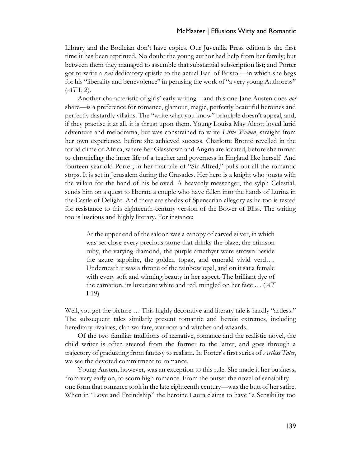Library and the Bodleian don't have copies. Our Juvenilia Press edition is the first time it has been reprinted. No doubt the young author had help from her family; but between them they managed to assemble that substantial subscription list; and Porter got to write a *real* dedicatory epistle to the actual Earl of Bristol—in which she begs for his "liberality and benevolence" in perusing the work of "a very young Authoress" (*AT* I, 2).

Another characteristic of girls' early writing—and this one Jane Austen does *not*  share—is a preference for romance, glamour, magic, perfectly beautiful heroines and perfectly dastardly villains. The "write what you know" principle doesn't appeal, and, if they practise it at all, it is thrust upon them. Young Louisa May Alcott loved lurid adventure and melodrama, but was constrained to write *Little Women*, straight from her own experience, before she achieved success. Charlotte Brontë revelled in the torrid clime of Africa, where her Glasstown and Angria are located, before she turned to chronicling the inner life of a teacher and governess in England like herself. And fourteen-year-old Porter, in her first tale of "Sir Alfred," pulls out all the romantic stops. It is set in Jerusalem during the Crusades. Her hero is a knight who jousts with the villain for the hand of his beloved. A heavenly messenger, the sylph Celestial, sends him on a quest to liberate a couple who have fallen into the hands of Lurina in the Castle of Delight. And there are shades of Spenserian allegory as he too is tested for resistance to this eighteenth-century version of the Bower of Bliss. The writing too is luscious and highly literary. For instance:

At the upper end of the saloon was a canopy of carved silver, in which was set close every precious stone that drinks the blaze; the crimson ruby, the varying diamond, the purple amethyst were strown beside the azure sapphire, the golden topaz, and emerald vivid verd…. Underneath it was a throne of the rainbow opal, and on it sat a female with every soft and winning beauty in her aspect. The brilliant dye of the carnation, its luxuriant white and red, mingled on her face … (*AT*  I 19)

Well, you get the picture … This highly decorative and literary tale is hardly "artless." The subsequent tales similarly present romantic and heroic extremes, including hereditary rivalries, clan warfare, warriors and witches and wizards.

Of the two familiar traditions of narrative, romance and the realistic novel, the child writer is often steered from the former to the latter, and goes through a trajectory of graduating from fantasy to realism. In Porter's first series of *Artless Tales*, we see the devoted commitment to romance.

Young Austen, however, was an exception to this rule. She made it her business, from very early on, to scorn high romance. From the outset the novel of sensibility one form that romance took in the late eighteenth century—was the butt of her satire. When in "Love and Freindship" the heroine Laura claims to have "a Sensibility too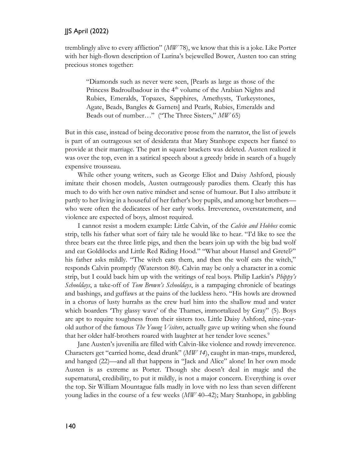#### JJS April (2022)

tremblingly alive to every affliction" (*MW* 78), we know that this is a joke. Like Porter with her high-flown description of Lurina's bejewelled Bower, Austen too can string precious stones together:

"Diamonds such as never were seen, [Pearls as large as those of the Princess Badroulbadour in the  $4<sup>th</sup>$  volume of the Arabian Nights and Rubies, Emeralds, Topazes, Sapphires, Amethysts, Turkeystones, Agate, Beads, Bangles & Garnets] and Pearls, Rubies, Emeralds and Beads out of number…" ("The Three Sisters," *MW* 65)

But in this case, instead of being decorative prose from the narrator, the list of jewels is part of an outrageous set of desiderata that Mary Stanhope expects her fiancé to provide at their marriage. The part in square brackets was deleted. Austen realized it was over the top, even in a satirical speech about a greedy bride in search of a hugely expensive trousseau.

While other young writers, such as George Eliot and Daisy Ashford, piously imitate their chosen models, Austen outrageously parodies them. Clearly this has much to do with her own native mindset and sense of humour. But I also attribute it partly to her living in a houseful of her father's boy pupils, and among her brothers who were often the dedicatees of her early works. Irreverence, overstatement, and violence are expected of boys, almost required.

I cannot resist a modern example: Little Calvin, of the *Calvin and Hobbes* comic strip, tells his father what sort of fairy tale he would like to hear. "I'd like to see the three bears eat the three little pigs, and then the bears join up with the big bad wolf and eat Goldilocks and Little Red Riding Hood." "What about Hansel and Gretel?" his father asks mildly. "The witch eats them, and then the wolf eats the witch," responds Calvin promptly (Waterston 80). Calvin may be only a character in a comic strip, but I could back him up with the writings of real boys. Philip Larkin's *Phippy's Schooldays*, a take-off of *Tom Brown's Schooldays*, is a rampaging chronicle of beatings and bashings, and guffaws at the pains of the luckless hero. "His howls are drowned in a chorus of lusty hurrahs as the crew hurl him into the shallow mud and water which boarders 'Thy glassy wave' of the Thames, immortalized by Gray" (5). Boys are apt to require toughness from their sisters too. Little Daisy Ashford, nine-yearold author of the famous *The Young Visiters*, actually gave up writing when she found that her older half-brothers roared with laughter at her tender love scenes.<sup>9</sup>

Jane Austen's juvenilia are filled with Calvin-like violence and rowdy irreverence. Characters get "carried home, dead drunk" (*MW 14*), caught in man-traps, murdered, and hanged (22)—and all that happens in "Jack and Alice" alone! In her own mode Austen is as extreme as Porter. Though she doesn't deal in magic and the supernatural, credibility, to put it mildly, is not a major concern. Everything is over the top. Sir William Mountague falls madly in love with no less than seven different young ladies in the course of a few weeks (*MW* 40–42); Mary Stanhope, in gabbling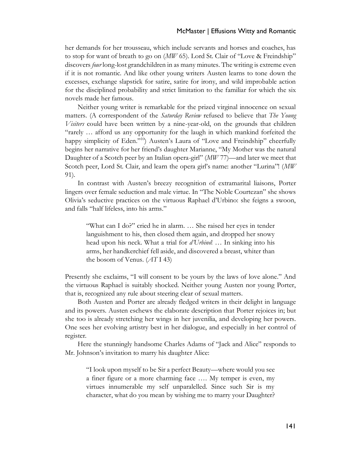her demands for her trousseau, which include servants and horses and coaches, has to stop for want of breath to go on (*MW* 65). Lord St. Clair of "Love & Freindship" discovers *four* long-lost grandchildren in as many minutes. The writing is extreme even if it is not romantic. And like other young writers Austen learns to tone down the excesses, exchange slapstick for satire, satire for irony, and wild improbable action for the disciplined probability and strict limitation to the familiar for which the six novels made her famous.

Neither young writer is remarkable for the prized virginal innocence on sexual matters. (A correspondent of the *Saturday Review* refused to believe that *The Young Visiters* could have been written by a nine-year-old, on the grounds that children "rarely … afford us any opportunity for the laugh in which mankind forfeited the happy simplicity of Eden."<sup>10</sup>) Austen's Laura of "Love and Freindship" cheerfully begins her narrative for her friend's daughter Marianne, "My Mother was the natural Daughter of a Scotch peer by an Italian opera-girl" (*MW* 77)—and later we meet that Scotch peer, Lord St. Clair, and learn the opera girl's name: another "Lurina"! (*MW* 91).

In contrast with Austen's breezy recognition of extramarital liaisons, Porter lingers over female seduction and male virtue. In "The Noble Courtezan" she shows Olivia's seductive practices on the virtuous Raphael d'Urbino: she feigns a swoon, and falls "half lifeless, into his arms."

"What can I do?" cried he in alarm. … She raised her eyes in tender languishment to his, then closed them again, and dropped her snowy head upon his neck. What a trial for *d'Urbino*! … In sinking into his arms, her handkerchief fell aside, and discovered a breast, whiter than the bosom of Venus. (*AT* I 43)

Presently she exclaims, "I will consent to be yours by the laws of love alone." And the virtuous Raphael is suitably shocked. Neither young Austen nor young Porter, that is, recognized any rule about steering clear of sexual matters.

Both Austen and Porter are already fledged writers in their delight in language and its powers. Austen eschews the elaborate description that Porter rejoices in; but she too is already stretching her wings in her juvenilia, and developing her powers. One sees her evolving artistry best in her dialogue, and especially in her control of register.

Here the stunningly handsome Charles Adams of "Jack and Alice" responds to Mr. Johnson's invitation to marry his daughter Alice:

"I look upon myself to be Sir a perfect Beauty—where would you see a finer figure or a more charming face …. My temper is even, my virtues innumerable my self unparalelled. Since such Sir is my character, what do you mean by wishing me to marry your Daughter?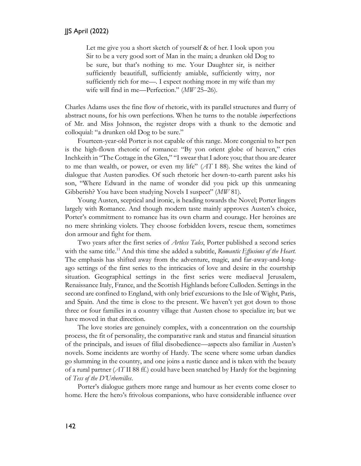Let me give you a short sketch of yourself & of her. I look upon you Sir to be a very good sort of Man in the main; a drunken old Dog to be sure, but that's nothing to me. Your Daughter sir, is neither sufficiently beautifull, sufficiently amiable, sufficiently witty, nor sufficiently rich for me—. I expect nothing more in my wife than my wife will find in me—Perfection." (*MW* 25–26).

Charles Adams uses the fine flow of rhetoric, with its parallel structures and flurry of abstract nouns, for his own perfections. When he turns to the notable *im*perfections of Mr. and Miss Johnson, the register drops with a thunk to the demotic and colloquial: "a drunken old Dog to be sure."

Fourteen-year-old Porter is not capable of this range. More congenial to her pen is the high-flown rhetoric of romance: "By yon orient globe of heaven," cries Inchkeith in "The Cottage in the Glen," "I swear that I adore you; that thou are dearer to me than wealth, or power, or even my life" (*AT* I 88). She writes the kind of dialogue that Austen parodies. Of such rhetoric her down-to-earth parent asks his son, "Where Edward in the name of wonder did you pick up this unmeaning Gibberish? You have been studying Novels I suspect" (*MW* 81).

Young Austen, sceptical and ironic, is heading towards the Novel; Porter lingers largely with Romance. And though modern taste mainly approves Austen's choice, Porter's commitment to romance has its own charm and courage. Her heroines are no mere shrinking violets. They choose forbidden lovers, rescue them, sometimes don armour and fight for them.

Two years after the first series of *Artless Tales*, Porter published a second series with the same title.<sup>11</sup> And this time she added a subtitle, *Romantic Effusions of the Heart*. The emphasis has shifted away from the adventure, magic, and far-away-and-longago settings of the first series to the intricacies of love and desire in the courtship situation. Geographical settings in the first series were mediaeval Jerusalem, Renaissance Italy, France, and the Scottish Highlands before Culloden. Settings in the second are confined to England, with only brief excursions to the Isle of Wight, Paris, and Spain. And the time is close to the present. We haven't yet got down to those three or four families in a country village that Austen chose to specialize in; but we have moved in that direction.

The love stories are genuinely complex, with a concentration on the courtship process, the fit of personality, the comparative rank and status and financial situation of the principals, and issues of filial disobedience—aspects also familiar in Austen's novels. Some incidents are worthy of Hardy. The scene where some urban dandies go slumming in the country, and one joins a rustic dance and is taken with the beauty of a rural partner (*AT* II 88 ff.) could have been snatched by Hardy for the beginning of *Tess of the D'Urbervilles*.

Porter's dialogue gathers more range and humour as her events come closer to home. Here the hero's frivolous companions, who have considerable influence over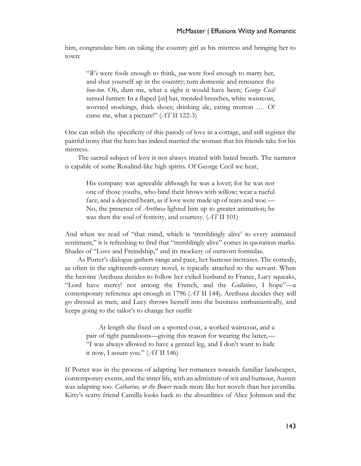him, congratulate him on taking the country girl as his mistress and bringing her to town:

"*We* were fools enough to think, *you* were fool enough to marry her, and shut yourself up in the country; turn domestic and renounce the *bon-ton*. Oh, dam me, what a sight it would have been; *George Cecil* turned farmer: In a flaped [*sic*] hat, mended breeches, white waistcoat, worsted stockings, thick shoes; drinking ale, eating mutton …. O! curse me, what a picture!" (*AT* II 122-3)

One can relish the specificity of this parody of love in a cottage, and still register the painful irony that the hero has indeed married the woman that his friends take for his mistress.

The sacred subject of love is not always treated with bated breath. The narrator is capable of some Rosalind-like high spirits. Of George Cecil we hear,

His company was agreeable although he was a lover; for he was not one of those youths, who bind their brows with willow; wear a rueful face, and a dejected heart, as if love were made up of tears and woe.— No, the presence of *Arethusa* lighted him up to greater animation; he was then the soul of festivity, and courtesy. (*AT* II 101)

And when we read of "that mind, which is 'tremblingly alive' to every animated sentiment," it is refreshing to find that "tremblingly alive" comes in quotation marks. Shades of "Love and Freindship," and its mockery of outworn formulas.

As Porter's dialogue gathers range and pace, her humour increases. The comedy, as often in the eighteenth-century novel, is typically attached to the servant. When the heroine Arethusa decides to follow her exiled husband to France, Lucy squeaks, "Lord have mercy! not among the French, and the *Gullotines*, I hope"—a contemporary reference apt enough in 1796 (*AT* II 144). Arethusa decides they will go dressed as men, and Lucy throws herself into the business enthusiastically, and keeps going to the tailor's to change her outfit:

At length she fixed on a spotted coat, a worked waistcoat, and a pair of tight pantaloons—giving this reason for wearing the latter,— "I was always allowed to have a genteel leg, and I don't want to hide it now, I assure you." (*AT* II 146)

If Porter was in the process of adapting her romances towards familiar landscapes, contemporary events, and the inner life, with an admixture of wit and humour, Austen was adapting too. *Catharine, or the Bower* reads more like her novels than her juvenilia. Kitty's scatty friend Camilla looks back to the absurdities of Alice Johnson and the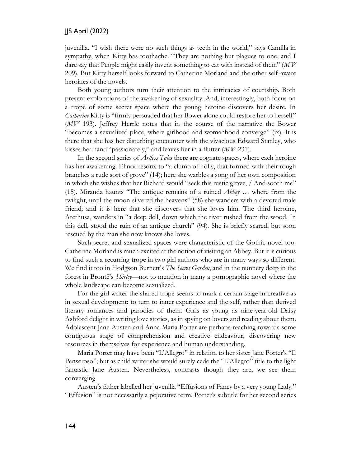#### JJS April (2022)

juvenilia. "I wish there were no such things as teeth in the world," says Camilla in sympathy, when Kitty has toothache. "They are nothing but plagues to one, and I dare say that People might easily invent something to eat with instead of them" (*MW* 209). But Kitty herself looks forward to Catherine Morland and the other self-aware heroines of the novels.

Both young authors turn their attention to the intricacies of courtship. Both present explorations of the awakening of sexuality. And, interestingly, both focus on a trope of some secret space where the young heroine discovers her desire. In *Catharine* Kitty is "firmly persuaded that her Bower alone could restore her to herself" (*MW* 193). Jeffrey Herrle notes that in the course of the narrative the Bower "becomes a sexualized place, where girlhood and womanhood converge" (ix). It is there that she has her disturbing encounter with the vivacious Edward Stanley, who kisses her hand "passionately," and leaves her in a flutter (*MW* 231).

In the second series of *Artless Tales* there are cognate spaces, where each heroine has her awakening. Elinor resorts to "a clump of holly, that formed with their rough branches a rude sort of grove" (14); here she warbles a song of her own composition in which she wishes that her Richard would "seek this rustic grove, / And sooth me" (15). Miranda haunts "The antique remains of a ruined *Abbey* … where from the twilight, until the moon silvered the heavens" (58) she wanders with a devoted male friend; and it is here that she discovers that she loves him. The third heroine, Arethusa, wanders in "a deep dell, down which the river rushed from the wood. In this dell, stood the ruin of an antique church" (94). She is briefly scared, but soon rescued by the man she now knows she loves.

Such secret and sexualized spaces were characteristic of the Gothic novel too: Catherine Morland is much excited at the notion of visiting an Abbey. But it is curious to find such a recurring trope in two girl authors who are in many ways so different. We find it too in Hodgson Burnett's *The Secret Garden*, and in the nunnery deep in the forest in Brontë's *Shirley—*not to mention in many a pornographic novel where the whole landscape can become sexualized.

For the girl writer the shared trope seems to mark a certain stage in creative as in sexual development: to turn to inner experience and the self, rather than derived literary romances and parodies of them. Girls as young as nine-year-old Daisy Ashford delight in writing love stories, as in spying on lovers and reading about them. Adolescent Jane Austen and Anna Maria Porter are perhaps reaching towards some contiguous stage of comprehension and creative endeavour, discovering new resources in themselves for experience and human understanding.

Maria Porter may have been "L'Allegro" in relation to her sister Jane Porter's "Il Penseroso"; but as child writer she would surely cede the "L'Allegro" title to the light fantastic Jane Austen. Nevertheless, contrasts though they are, we see them converging.

Austen's father labelled her juvenilia "Effusions of Fancy by a very young Lady." "Effusion" is not necessarily a pejorative term. Porter's subtitle for her second series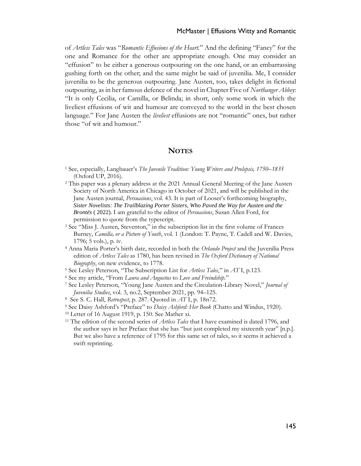of *Artless Tales* was "*Romantic Effusions of the Heart.*" And the defining "Fancy" for the one and Romance for the other are appropriate enough. One may consider an "effusion" to be either a generous outpouring on the one hand, or an embarrassing gushing forth on the other; and the same might be said of juvenilia. Me, I consider juvenilia to be the generous outpouring. Jane Austen, too, takes delight in fictional outpouring, as in her famous defence of the novel in Chapter Five of *Northanger Abbey*: "It is only Cecilia, or Camilla, or Belinda; in short, only some work in which the liveliest effusions of wit and humour are conveyed to the world in the best chosen language." For Jane Austen the *liveliest* effusions are not "romantic" ones, but rather those "of wit and humour."

#### **NOTES**

- <sup>1</sup> See, especially, Langbauer's *The Juvenile Tradition: Young Writers and Prolepsis, 1750–1835* (Oxford UP, 2016).
- <sup>2</sup> This paper was a plenary address at the 2021 Annual General Meeting of the Jane Austen Society of North America in Chicago in October of 2021, and will be published in the Jane Austen journal, *Persuasions*, vol. 43. It is part of Looser's forthcoming biography, *Sister Novelists: The Trailblazing Porter Sisters, Who Paved the Way for Austen and the Brontës* ( 2022). I am grateful to the editor of *Persuasions*, Susan Allen Ford, for permission to quote from the typescript.
- <sup>3</sup> See "Miss J. Austen, Steventon," in the subscription list in the first volume of Frances Burney, *Camilla, or a Picture of Youth*, vol. 1 (London: T. Payne, T. Cadell and W. Davies, 1796; 5 vols.), p. iv.
- <sup>4</sup> Anna Maria Porter's birth date, recorded in both the *Orlando Project* and the Juvenilia Press edition of *Artless Tales* as 1780, has been revised in *The Oxford Dictionary of National Biography*, on new evidence, to 1778.
- <sup>5</sup> See Lesley Peterson, "The Subscription List for *Artless Tales*," in *AT* I, p.123.
- <sup>6</sup> See my article, "From *Laura and Augustus* to *Love and Freindship.*"
- <sup>7</sup> See Lesley Peterson, "Young Jane Austen and the Circulation-Library Novel," *Journal of Juvenilia Studies*, vol. 3, no.2, September 2021, pp. 94–125.
- 8 See S. C. Hall, *Retrospect*, p. 287. Quoted in *AT* I, p. 18n72.
- <sup>9</sup> See Daisy Ashford's "Preface" to *Daisy Ashford: Her Book* (Chatto and Windus, 1920).
- <sup>10</sup> Letter of 16 August 1919, p. 150. See Mather xi.
- <sup>11</sup> The edition of the second series of *Artless Tales* that I have examined is dated 1796, and the author says in her Preface that she has "but just completed my sixteenth year" [n.p.]. But we also have a reference of 1795 for this same set of tales, so it seems it achieved a swift reprinting.